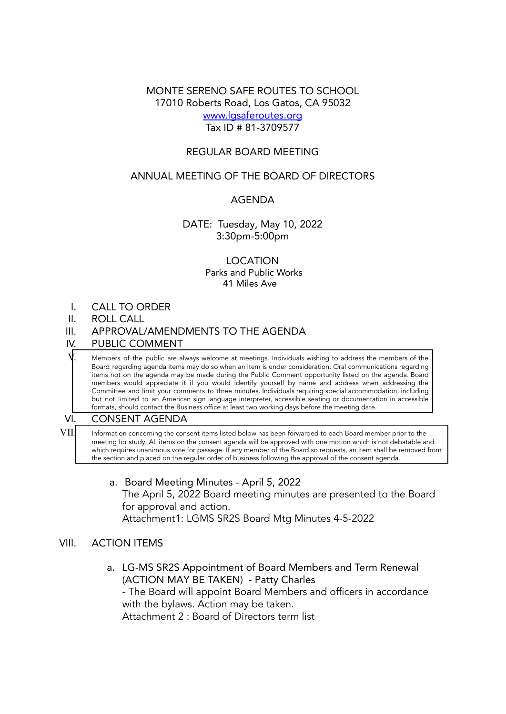MONTE SERENO SAFE ROUTES TO SCHOOL 17010 Roberts Road, Los Gatos, CA 95032 [www.lgsaferoutes.org](http://www.lgsaferoutes.org) Tax ID # 81-3709577

### REGULAR BOARD MEETING

## ANNUAL MEETING OF THE BOARD OF DIRECTORS

### AGENDA

### DATE: Tuesday, May 10, 2022 3:30pm-5:00pm

### LOCATION Parks and Public Works 41 Miles Ave

- I. CALL TO ORDER
- II. ROLL CALL
- III. APPROVAL/AMENDMENTS TO THE AGENDA
- IV. PUBLIC COMMENT

Members of the public are always welcome at meetings. Individuals wishing to address the members of the Board regarding agenda items may do so when an item is under consideration. Oral communications regarding items not on the agenda may be made during the Public Comment opportunity listed on the agenda. Board members would appreciate it if you would identify yourself by name and address when addressing the Committee and limit your comments to three minutes. Individuals requiring special accommodation, including but not limited to an American sign language interpreter, accessible seating or documentation in accessible formats, should contact the Business office at least two working days before the meeting date.

#### VI. CONSENT AGENDA

 $VII$  Information concerning the consent items listed below has been forwarded to each Board member prior to the meeting for study. All items on the consent agenda will be approved with one motion which is not debatable and which requires unanimous vote for passage. If any member of the Board so requests, an item shall be removed from the section and placed on the regular order of business following the approval of the consent agenda.

> a. Board Meeting Minutes - April 5, 2022 The April 5, 2022 Board meeting minutes are presented to the Board for approval and action. Attachment1: LGMS SR2S Board Mtg Minutes 4-5-2022

#### VIII. ACTION ITEMS

a. LG-MS SR2S Appointment of Board Members and Term Renewal (ACTION MAY BE TAKEN) - Patty Charles - The Board will appoint Board Members and officers in accordance

with the bylaws. Action may be taken.

Attachment 2 : Board of Directors term list